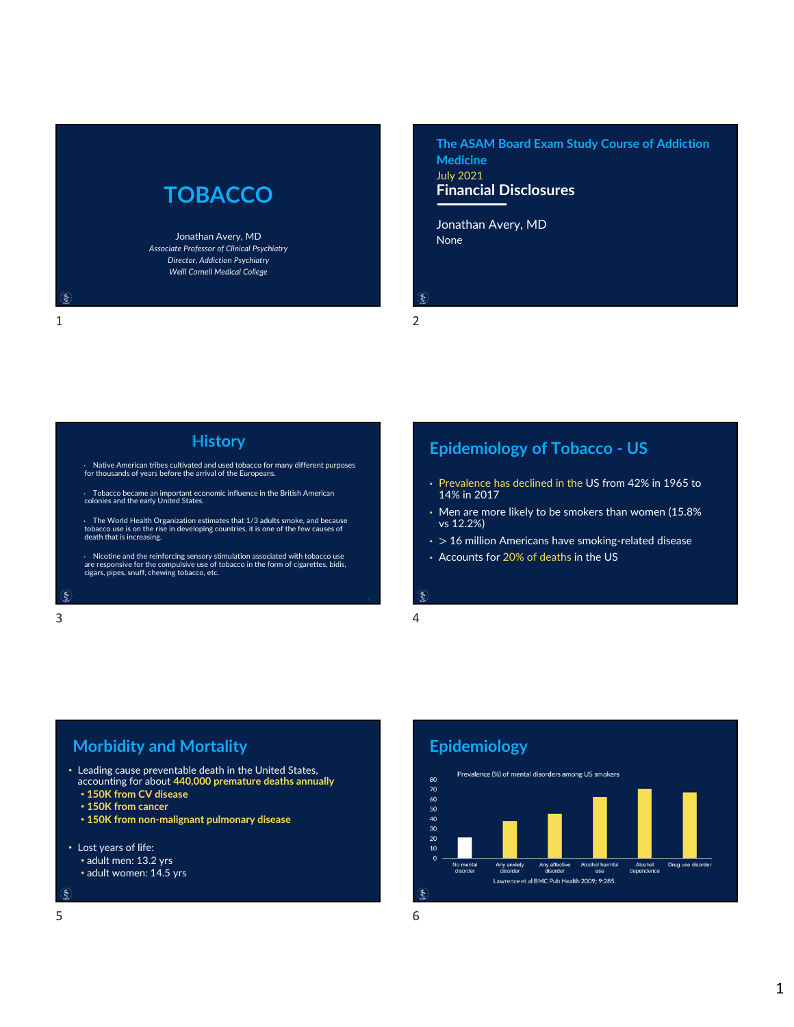# **TOBACCO**

Jonathan Avery, MD *Associate Professor of Clinical Psychiatry Director, Addiction Psychiatry Weill Cornell Medical College*

**Financial Disclosures The ASAM Board Exam Study Course of Addiction Medicine** July 2021

None Jonathan Avery, MD

ś

### 1 2

## **History**

• Native American tribes cultivated and used tobacco for many different purposes for thousands of years before the arrival of the Europeans.

• Tobacco became an important economic influence in the British American colonies and the early United States.

• The World Health Organization estimates that 1/3 adults smoke, and because tobacco use is on the rise in developing countries, it is one of the few causes of death that is increasing.

• Nicotine and the reinforcing sensory stimulation associated with tobacco use are responsive for the compulsive use of tobacco in the form of cigarettes, bidis, cigars, pipes, snuff, chewing tobacco, etc.

#### $\xi$

 $3 \overline{4}$ 

## **Epidemiology of Tobacco ‐ US**

- Prevalence has declined in the US from 42% in 1965 to 14% in 2017
- Men are more likely to be smokers than women (15.8% vs 12.2%)
- $\cdot$  > 16 million Americans have smoking-related disease
- Accounts for 20% of deaths in the US

# $\epsilon$

## **Morbidity and Mortality**

• Leading cause preventable death in the United States, accounting for about **440,000 premature deaths annually**

 $5<sub>6</sub>$ 

- **150K from CV disease**
- **150K from cancer**
- **150K from non‐malignant pulmonary disease**
- Lost years of life:
	- adult men: 13.2 yrs
	- adult women: 14.5 yrs

#### ş



Lawrence et al BMC Pub Health 2009; 9:285.

1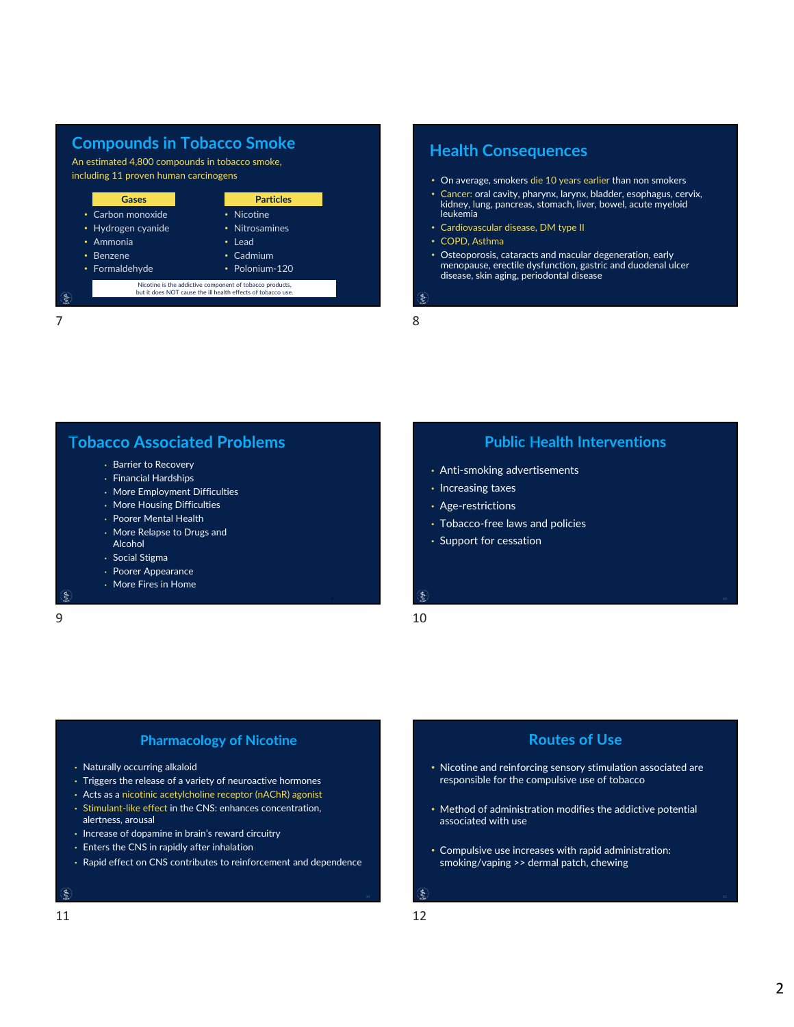## **Compounds in Tobacco Smoke**

An estimated 4,800 compounds in tobacco smoke, including 11 proven human carcinogens



 $7$  8

## **Health Consequences**

- On average, smokers die 10 years earlier than non smokers
- Cancer: oral cavity, pharynx, larynx, bladder, esophagus, cervix, kidney, lung, pancreas, stomach, liver, bowel, acute myeloid leukemia
- Cardiovascular disease, DM type II
- COPD, Asthma
- Osteoporosis, cataracts and macular degeneration, early menopause, erectile dysfunction, gastric and duodenal ulcer disease, skin aging, periodontal disease
- 

**Tobacco Associated Problems** 

- Barrier to Recovery
- Financial Hardships
- More Employment Difficulties
- More Housing Difficulties
- Poorer Mental Health
- More Relapse to Drugs and Alcohol
- Social Stigma
- Poorer Appearance
- More Fires in Home

## **Public Health Interventions**

- Anti‐smoking advertisements
- Increasing taxes
- Age‐restrictions
- Tobacco‐free laws and policies
- Support for cessation

 $\epsilon$ 

### $9 \hspace{2.5cm} 10$

### **Pharmacology of Nicotine**

- Naturally occurring alkaloid
- Triggers the release of a variety of neuroactive hormones
- Acts as a nicotinic acetylcholine receptor (nAChR) agonist
- Stimulant‐like effect in the CNS: enhances concentration, alertness, arousal
- Increase of dopamine in brain's reward circuitry
- Enters the CNS in rapidly after inhalation
- Rapid effect on CNS contributes to reinforcement and dependence

### ş

- 
- responsible for the compulsive use of tobacco
- Method of administration modifies the addictive potential associated with use

• Nicotine and reinforcing sensory stimulation associated are

**Routes of Use** 

- Compulsive use increases with rapid administration: smoking/vaping >> dermal patch, chewing
-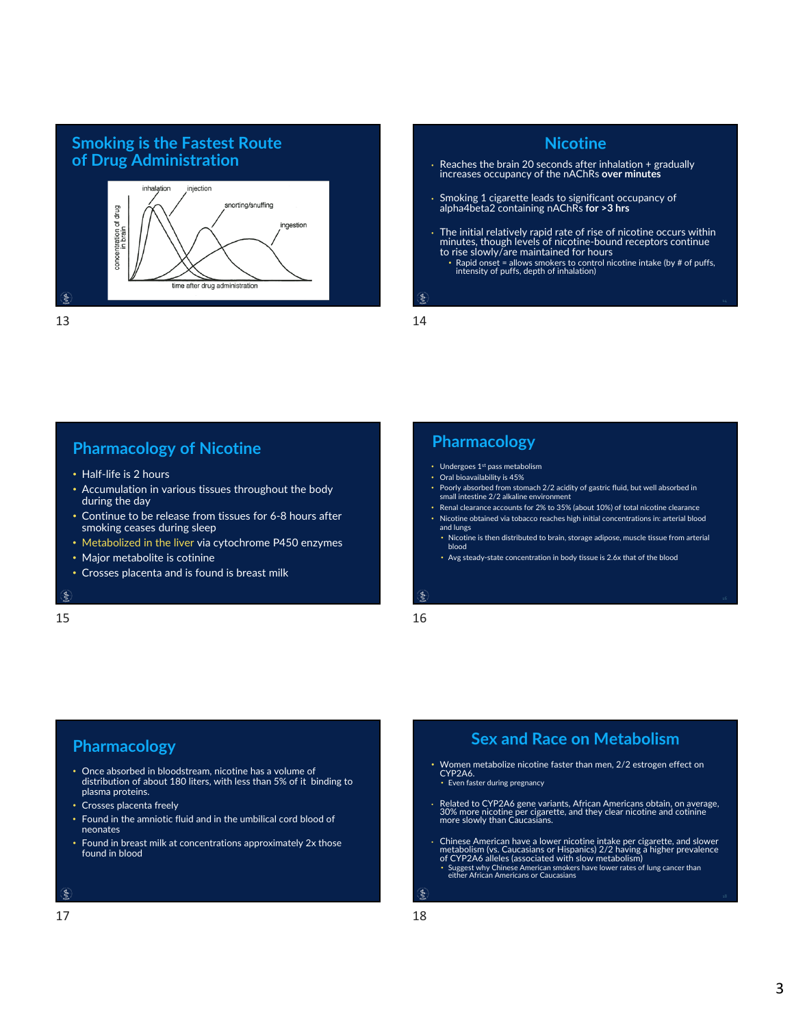# **Smoking is the Fastest Route**



# **Nicotine of Drug Administration**<br>
increases occupancy of the nAChRs **over minutes**<br>
increases occupancy of the nAChRs **over minutes** • Smoking 1 cigarette leads to significant occupancy of alpha4beta2 containing nAChRs **for >3 hrs** • The initial relatively rapid rate of rise of nicotine occurs within minutes, though levels of nicotine‐bound receptors continue to rise slowly/are maintained for hours • Rapid onset = allows smokers to control nicotine intake (by # of puffs, intensity of puffs, depth of inhalation)

## **Pharmacology of Nicotine**

- Half-life is 2 hours
- Accumulation in various tissues throughout the body during the day
- Continue to be release from tissues for 6‐8 hours after smoking ceases during sleep
- Metabolized in the liver via cytochrome P450 enzymes
- Major metabolite is cotinine
- Crosses placenta and is found is breast milk

#### ę

 $15$  and  $16$ 

## **Pharmacology**

- Undergoes 1st pass metabolism
- Oral bioavailability is 45%
- Poorly absorbed from stomach 2/2 acidity of gastric fluid, but well absorbed in small intestine 2/2 alkaline environment
- Renal clearance accounts for 2% to 35% (about 10%) of total nicotine clearance
- Nicotine obtained via tobacco reaches high initial concentrations in: arterial blood and lungs
- Nicotine is then distributed to brain, storage adipose, muscle tissue from arterial blood
- Avg steady‐state concentration in body tissue is 2.6x that of the blood

# $\xi$

## **Pharmacology**

- Once absorbed in bloodstream, nicotine has a volume of distribution of about 180 liters, with less than 5% of it binding to plasma proteins.
- Crosses placenta freely
- Found in the amniotic fluid and in the umbilical cord blood of neonates
- Found in breast milk at concentrations approximately 2x those found in blood

#### $\zeta$

## **Sex and Race on Metabolism**

- Women metabolize nicotine faster than men, 2/2 estrogen effect on<br>CYP2A6. • Even faster during pregnancy
	-
- Related to CYP2A6 gene variants, African Americans obtain, on average, 30% more nicotine per cigarette, and they clear nicotine and cotinine more slowly than Caucasians.
- Chinese American have a lower nicotine intake per cigarette, and slower metabolism (vs. Caucasians or Hispanics) 2/2 having a higher prevalence of CYP2A6 alleles (associated with slow metabolism)
- Suggest why Chinese American smokers have lower rates of lung cancer than either African Americans or Caucasians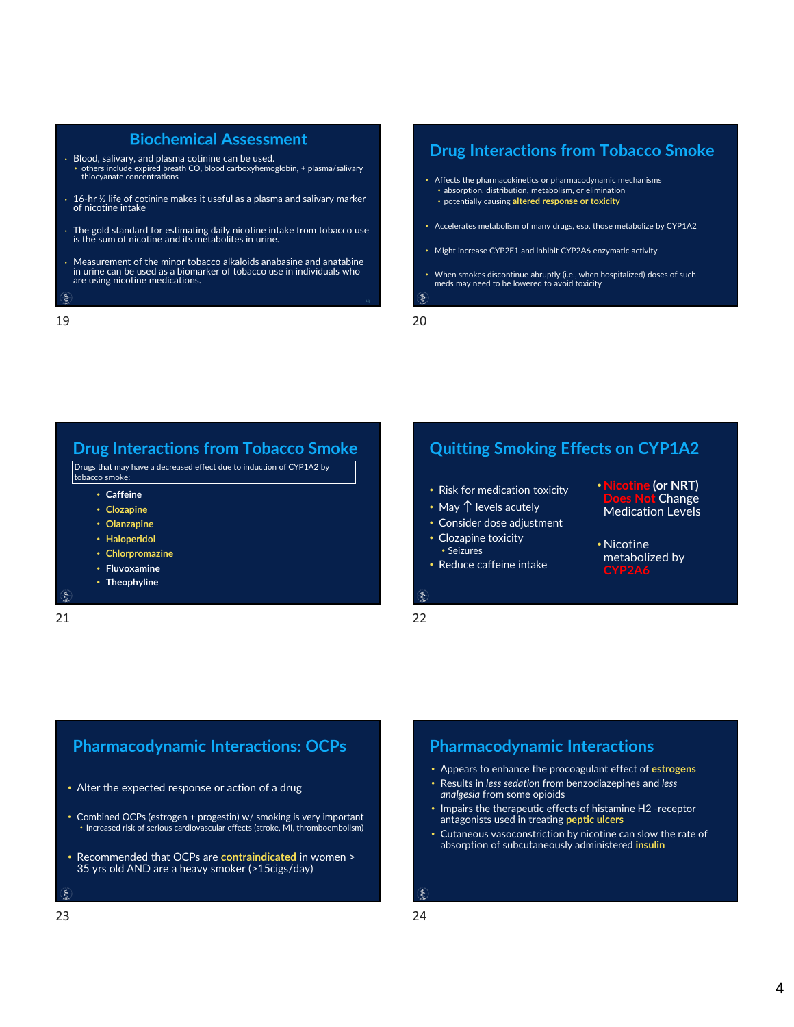### **Biochemical Assessment**

- Blood, salivary, and plasma cotinine can be used. • others include expired breath CO, blood carboxyhemoglobin, + plasma/salivary thiocyanate concentrations
- 16‐hr ½ life of cotinine makes it useful as a plasma and salivary marker of nicotine intake
- The gold standard for estimating daily nicotine intake from tobacco use is the sum of nicotine and its metabolites in urine.
- Measurement of the minor tobacco alkaloids anabasine and anatabine in urine can be used as <sup>a</sup> biomarker of tobacco use in individuals who are using nicotine medications.
- $\epsilon$

## **Drug Interactions from Tobacco Smoke**

- Affects the pharmacokinetics or pharmacodynamic mechanisms • absorption, distribution, metabolism, or elimination
	- potentially causing **altered response or toxicity**
- Accelerates metabolism of many drugs, esp. those metabolize by CYP1A2
- Might increase CYP2E1 and inhibit CYP2A6 enzymatic activity
- When smokes discontinue abruptly (i.e., when hospitalized) doses of such meds may need to be lowered to avoid toxicity ś

19 20

## **Drug Interactions from Tobacco Smoke**

Drugs that may have a decreased effect due to induction of CYP1A2 by tobacco smoke:

- **Caffeine**
- **Clozapine**
- **Olanzapine**
- **Haloperidol**
- **Chlorpromazine**
- **Fluvoxamine**
- **Theophyline**

 $\epsilon$ 21 22

## **Quitting Smoking Effects on CYP1A2**

- Risk for medication toxicity
- May ↑ levels acutely
- Consider dose adjustment
- Clozapine toxicity • Seizures
- Reduce caffeine intake
- $\epsilon$

•**Nicotine (or NRT) Does Not** Change Medication Levels

4

• Nicotine metabolized by **CYP2A6**

## **Pharmacodynamic Interactions: OCPs**

- Alter the expected response or action of a drug
- Combined OCPs (estrogen + progestin) w/ smoking is very important • Increased risk of serious cardiovascular effects (stroke, MI, thromboembolism)
- Recommended that OCPs are **contraindicated** in women > 35 yrs old AND are a heavy smoker (>15cigs/day)
- 

## **Pharmacodynamic Interactions**

- Appears to enhance the procoagulant effect of **estrogens**
- Results in *less sedation* from benzodiazepines and *less analgesia* from some opioids
- Impairs the therapeutic effects of histamine H2 ‐receptor antagonists used in treating **peptic ulcers**
- Cutaneous vasoconstriction by nicotine can slow the rate of absorption of subcutaneously administered **insulin**

ş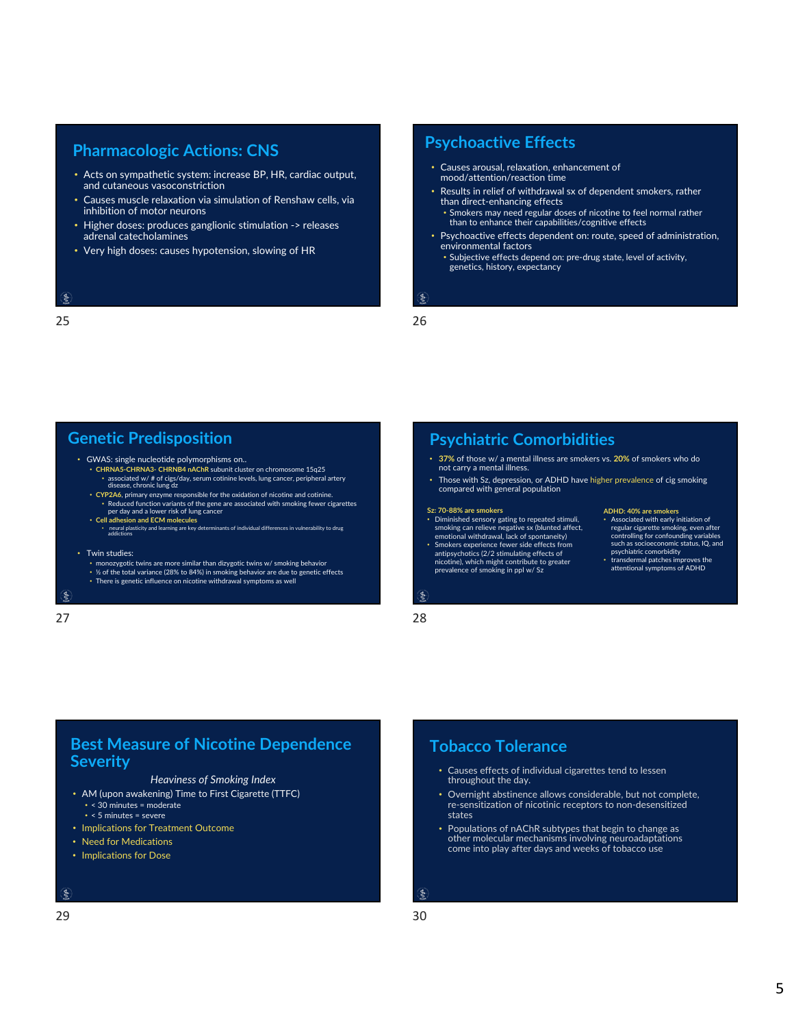## **Pharmacologic Actions: CNS Psychoactive Effects**

- Acts on sympathetic system: increase BP, HR, cardiac output, and cutaneous vasoconstriction
- Causes muscle relaxation via simulation of Renshaw cells, via inhibition of motor neurons
- Higher doses: produces ganglionic stimulation -> releases adrenal catecholamines
- Very high doses: causes hypotension, slowing of HR

#### $\epsilon$

 $25$  25

- Causes arousal, relaxation, enhancement of mood/attention/reaction time
- Results in relief of withdrawal sx of dependent smokers, rather than direct‐enhancing effects • Smokers may need regular doses of nicotine to feel normal rather than to enhance their capabilities/cognitive effects
- Psychoactive effects dependent on: route, speed of administration, environmental factors
- Subjective effects depend on: pre‐drug state, level of activity, genetics, history, expectancy

ś

## **Genetic Predisposition**

- GWAS: single nucleotide polymorphisms on.. **CHRNA5‐CHRNA3‐ CHRNB4 nAChR** subunit cluster on chromosome 15q25 • associated w/ # of cigs/day, serum cotinine levels, lung cancer, peripheral artery disease, chronic lung dz
- **CYP2A6**, primary enzyme responsible for the oxidation of nicotine and cotinine. • Reduced function variants of the gene are associated with smoking fewer cigarettes per day and a lower risk of lung cancer
- **Cell adhesion and ECM molecules** neural plasticity and learning are key determinants of individual differences in vulnerability to drug addictions

#### • Twin studies:

- monozygotic twins are more similar than dizygotic twins w/ smoking behavior ½ of the total variance (28% to 84%) in smoking behavior are due to genetic effects
- There is genetic influence on nicotine withdrawal symptoms as well

#### $\mathcal{S}$

## **Psychiatric Comorbidities**

- **37%** of those w/ a mental illness are smokers vs. **20%** of smokers who do not carry a mental illness.
- Those with Sz, depression, or ADHD have higher prevalence of cig smoking compared with general population

#### **Sz: 70‐88% are smokers**

- Diminished sensory gating to repeated stimuli, smoking can relieve negative sx (blunted affect, emotional withdrawal, lack of spontaneity) • Smokers experience fewer side effects from
- antipsychotics (2/2 stimulating effects of nicotine), which might contribute to greater prevalence of smoking in ppl w/ Sz

## **ADHD: 40% are smokers**

- Associated with early initiation of regular cigarette smoking, even after controlling for confounding variables such as socioeconomic status, IQ, and psychiatric comorbidity • transdermal patches improves the
- attentional symptoms of ADHD

## $\xi$  $27$  28

## **Best Measure of Nicotine Dependence Severity**

### *Heaviness of Smoking Index*

- AM (upon awakening) Time to First Cigarette (TTFC) • < 30 minutes = moderate • < 5 minutes = severe
- Implications for Treatment Outcome
- Need for Medications
- Implications for Dose

#### $\zeta$

### $29$  30

## **Tobacco Tolerance**

- Causes effects of individual cigarettes tend to lessen throughout the day.
- Overnight abstinence allows considerable, but not complete, re‐sensitization of nicotinic receptors to non‐desensitized states
- Populations of nAChR subtypes that begin to change as other molecular mechanisms involving neuroadaptations come into play after days and weeks of tobacco use

ş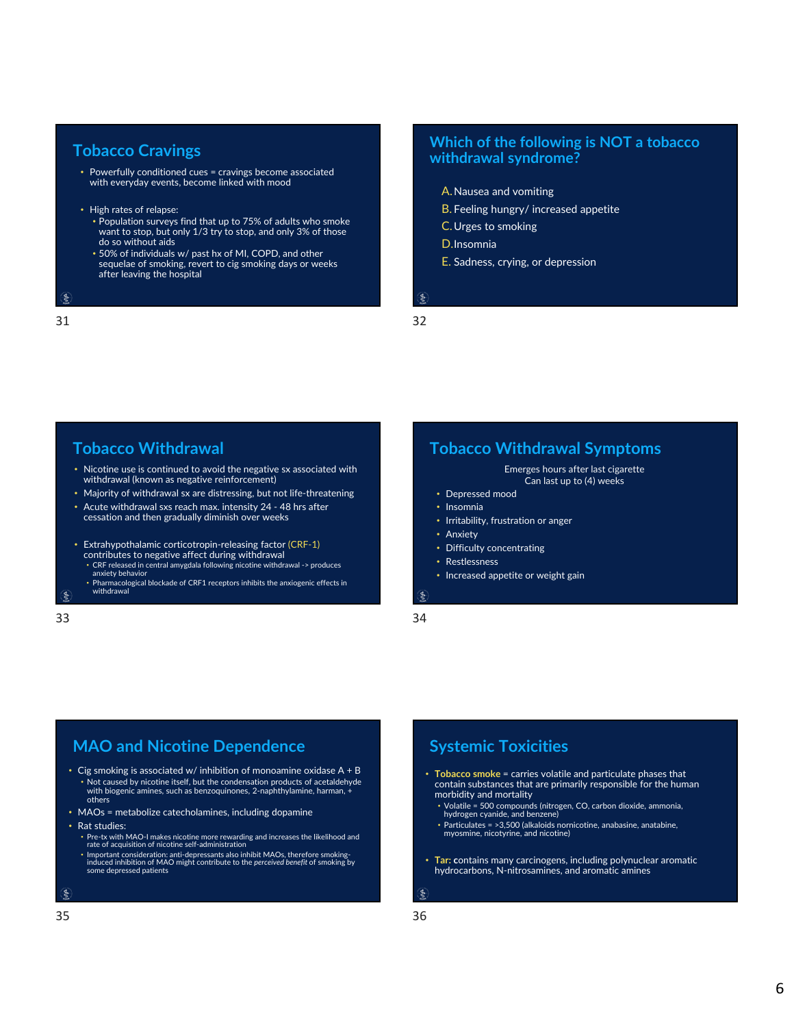### **Tobacco Cravings**

- Powerfully conditioned cues = cravings become associated with everyday events, become linked with mood
- High rates of relapse:
	- Population surveys find that up to 75% of adults who smoke want to stop, but only 1/3 try to stop, and only 3% of those do so without aids
	- 50% of individuals w/ past hx of MI, COPD, and other sequelae of smoking, revert to cig smoking days or weeks after leaving the hospital

31 32

ś

## **Which of the following is NOT a tobacco withdrawal syndrome?**

- A.Nausea and vomiting
- B. Feeling hungry/ increased appetite
- C.Urges to smoking
- D.Insomnia
- E. Sadness, crying, or depression

ş

## **Tobacco Withdrawal**

- Nicotine use is continued to avoid the negative sx associated with withdrawal (known as negative reinforcement)
- Majority of withdrawal sx are distressing, but not life-threatening
- Acute withdrawal sxs reach max. intensity 24 ‐ 48 hrs after  $c$ essation and then gradually diminish over weeks
- Extrahypothalamic corticotropin‐releasing factor (CRF‐1) contributes to negative affect during withdrawal
	- CRF released in central amygdala following nicotine withdrawal ‐> produces anxiety behavior • Pharmacological blockade of CRF1 receptors inhibits the anxiogenic effects in
- withdrawal

33 34

## **Tobacco Withdrawal Symptoms**

Emerges hours after last cigarette Can last up to (4) weeks

- Depressed mood
- Insomnia
- Irritability, frustration or anger
- Anxiety
- Difficulty concentrating
- Restlessness
- Increased appetite or weight gain

 $\xi$ 

## **MAO and Nicotine Dependence**

- Cig smoking is associated w/ inhibition of monoamine oxidase  $A + B$ • Not caused by nicotine itself, but the condensation products of acetaldehyde with biogenic amines, such as benzoquinones, 2‐naphthylamine, harman, + others
- MAOs = metabolize catecholamines, including dopamine
- Rat studies:
	- Pre‐tx with MAO‐I makes nicotine more rewarding and increases the likelihood and rate of acquisition of nicotine self‐administration
- Important consideration: anti‐depressants also inhibit MAOs, therefore smoking‐ induced inhibition of MAO might contribute to the *perceived benefit* of smoking by some depressed patients

 $\zeta$ 

## **Systemic Toxicities**

- **Tobacco smoke** = carries volatile and particulate phases that contain substances that are primarily responsible for the human morbidity and mortality
	- Volatile = 500 compounds (nitrogen, CO, carbon dioxide, ammonia, hydrogen cyanide, and benzene)
- Particulates = >3,500 (alkaloids nornicotine, anabasine, anatabine, myosmine, nicotyrine, and nicotine)
- **Tar: c**ontains many carcinogens, including polynuclear aromatic hydrocarbons, N‐nitrosamines, and aromatic amines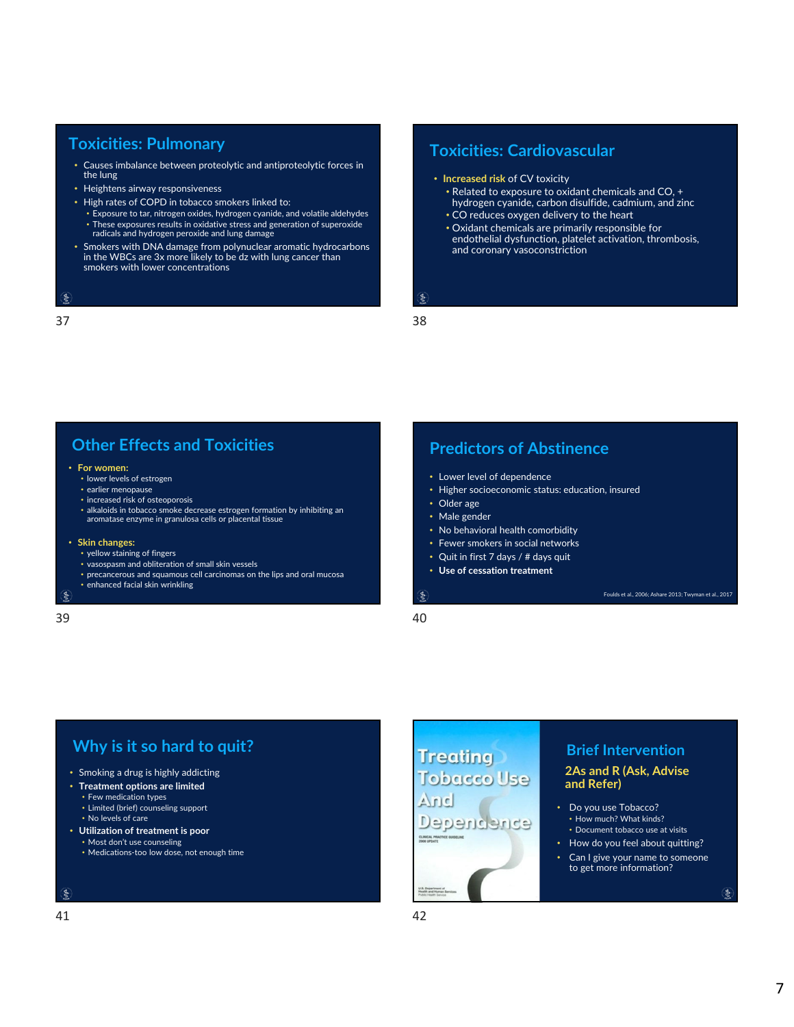## **Toxicities: Pulmonary**

- Causes imbalance between proteolytic and antiproteolytic forces in the lung
- Heightens airway responsiveness
- High rates of COPD in tobacco smokers linked to:
	- Exposure to tar, nitrogen oxides, hydrogen cyanide, and volatile aldehydes • These exposures results in oxidative stress and generation of superoxide radicals and hydrogen peroxide and lung damage
- Smokers with DNA damage from polynuclear aromatic hydrocarbons in the WBCs are 3x more likely to be dz with lung cancer than smokers with lower concentrations

#### $\epsilon$

 $37$  38

## **Toxicities: Cardiovascular**

- **Increased risk** of CV toxicity
	- Related to exposure to oxidant chemicals and CO, + hydrogen cyanide, carbon disulfide, cadmium, and zinc • CO reduces oxygen delivery to the heart
	- Oxidant chemicals are primarily responsible for endothelial dysfunction, platelet activation, thrombosis, and coronary vasoconstriction

#### ę.

## **Other Effects and Toxicities**

#### • **For women:**

- lower levels of estrogen
- earlier menopause
- increased risk of osteoporosis
- alkaloids in tobacco smoke decrease estrogen formation by inhibiting an aromatase enzyme in granulosa cells or placental tissue

#### • **Skin changes:**

- yellow staining of fingers
- vasospasm and obliteration of small skin vessels
- precancerous and squamous cell carcinomas on the lips and oral mucosa
- enhanced facial skin wrinkling

 $39$  40

## **Predictors of Abstinence**

- Lower level of dependence
- Higher socioeconomic status: education, insured
- Older age
- Male gender
- No behavioral health comorbidity
- Fewer smokers in social networks
- Quit in first 7 days / # days quit
- **Use of cessation treatment**

 $\epsilon$ 

# **Why** is it so hard to quit? **Intervention Brief Intervention**

- Smoking a drug is highly addicting
- **Treatment options are limited** • Few medication types
	- Limited (brief) counseling support • No levels of care
- **Utilization of treatment is poor**
- Most don't use counseling
- Medications‐too low dose, not enough time

#### $\zeta$

# **Tobacco Use** And Dependence

Foulds et al., 2006; Ashare 2013; Twyman et al., 2017

### **2As and R (Ask, Advise and Refer)**

- Do you use Tobacco? • How much? What kinds? • Document tobacco use at visits
- How do you feel about quitting?
- Can I give your name to someone to get more information?

 $\frac{4}{5}$ 

7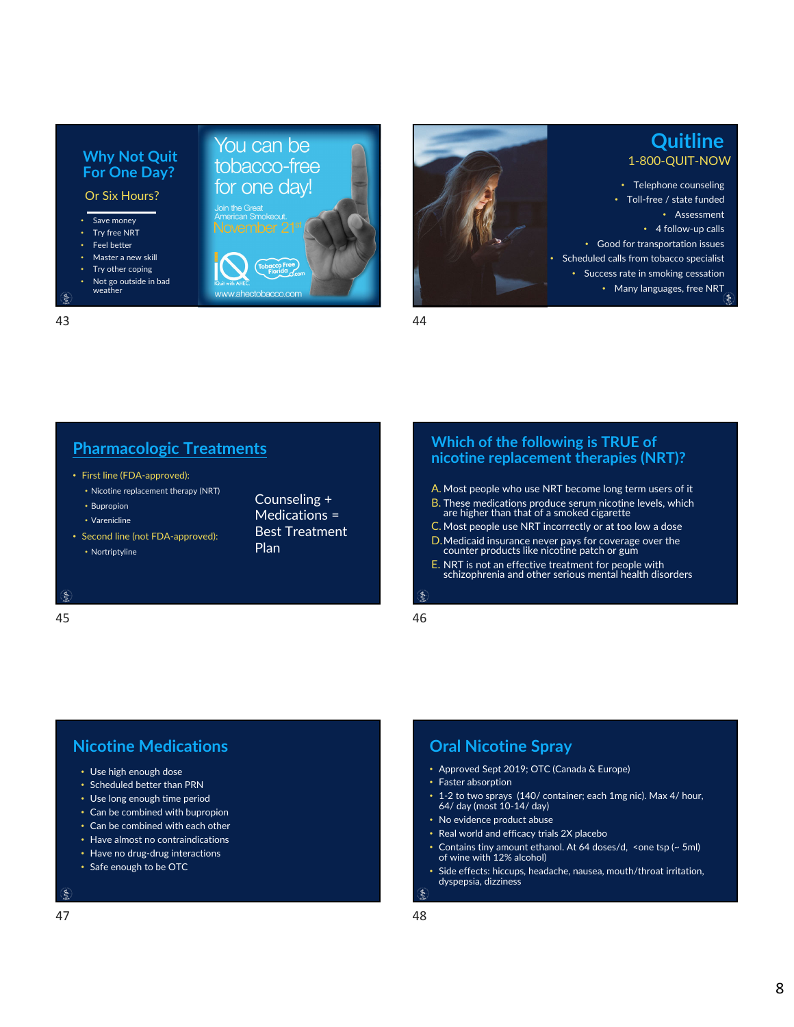

### 43 44

## **Pharmacologic Treatments**

• First line (FDA‐approved):

**Why Not Quit For One Day?** Or Six Hours?

• Save money Try free NRT • Feel better • Master a new skill Try other coping • Not go outside in bad weather

- Nicotine replacement therapy (NRT) • Bupropion
- Varenicline

 $\xi$ 

• Second line (not FDA‐approved): • Nortriptyline

Counseling + Medications = Best Treatment Plan

 $45$ 

You can be tobacco-free for one day!

w.ahectobacc

### **Which of the following is TRUE of nicotine replacement therapies (NRT)?**

**Quitline**

• Assessment

- A. Most people who use NRT become long term users of it
- B. These medications produce serum nicotine levels, which are higher than that of <sup>a</sup> smoked cigarette
- C. Most people use NRT incorrectly or at too low a dose
- D.Medicaid insurance never pays for coverage over the counter products like nicotine patch or gum
- E. NRT is not an effective treatment for people with schizophrenia and other serious mental health disorders

#### Ś

# **Nicotine Medications**

- Use high enough dose
- Scheduled better than PRN
- Use long enough time period
- Can be combined with bupropion
- Can be combined with each other
- Have almost no contraindications
- Have no drug‐drug interactions
- Safe enough to be OTC

## **Oral Nicotine Spray**

- Approved Sept 2019; OTC (Canada & Europe)
- Faster absorption
- 1‐2 to two sprays (140/ container; each 1mg nic). Max 4/ hour, 64/ day (most 10‐14/ day)
- No evidence product abuse
- Real world and efficacy trials 2X placebo
- Contains tiny amount ethanol. At 64 doses/d, <one tsp (~ 5ml)<br>of wine with 12% alcohol)
- Side effects: hiccups, headache, nausea, mouth/throat irritation, dyspepsia, dizziness Ś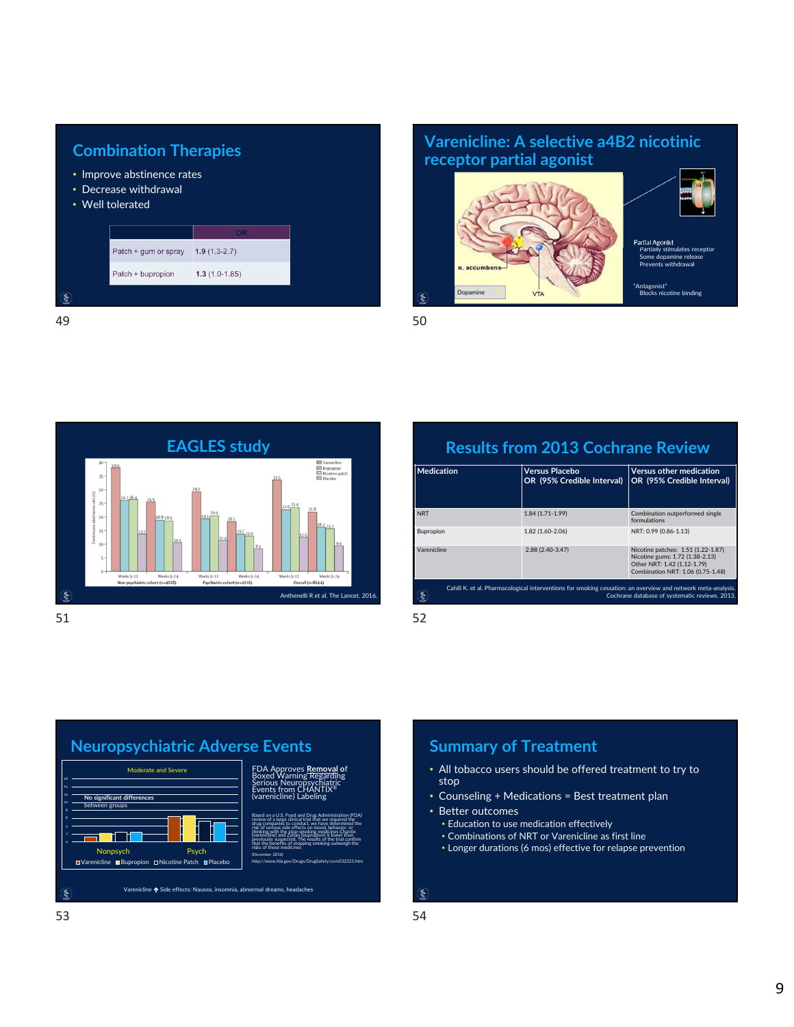

# **receptor partial agonist**





Partial Agonist Partially stimulates receptor Some dopamine release Prevents withdrawal

"Antagonist" Blocks nicotine binding



## **Results from 2013 Cochrane Review**

| <b>Medication</b>                                                                                                                                              | <b>Versus Placebo</b><br>OR (95% Credible Interval) | <b>Versus other medication</b><br>OR (95% Credible Interval)                                                                              |
|----------------------------------------------------------------------------------------------------------------------------------------------------------------|-----------------------------------------------------|-------------------------------------------------------------------------------------------------------------------------------------------|
| <b>NRT</b>                                                                                                                                                     | 1.84 (1.71-1.99)                                    | Combination outperformed single<br>formulations                                                                                           |
| Bupropion                                                                                                                                                      | 1.82 (1.60-2.06)                                    | NRT: 0.99 (0.86-1.13)                                                                                                                     |
| Varenicline                                                                                                                                                    | 2.88 (2.40-3.47)                                    | Nicotine patches: 1.51 (1.22-1.87)<br>Nicotine gums: 1.72 (1.38-2.13)<br>Other NRT: 1.42 (1.12-1.79)<br>Combination NRT: 1.06 (0.75-1.48) |
| Cahill K. et al. Pharmacological interventions for smoking cessation: an overview and network meta-analysis.<br>Cochrane database of systematic reviews, 2013. |                                                     |                                                                                                                                           |



## **Summary of Treatment**

- All tobacco users should be offered treatment to try to stop
- Counseling + Medications = Best treatment plan
- Better outcomes
	- Education to use medication effectively
	- Combinations of NRT or Varenicline as first line
	- Longer durations (6 mos) effective for relapse prevention

ş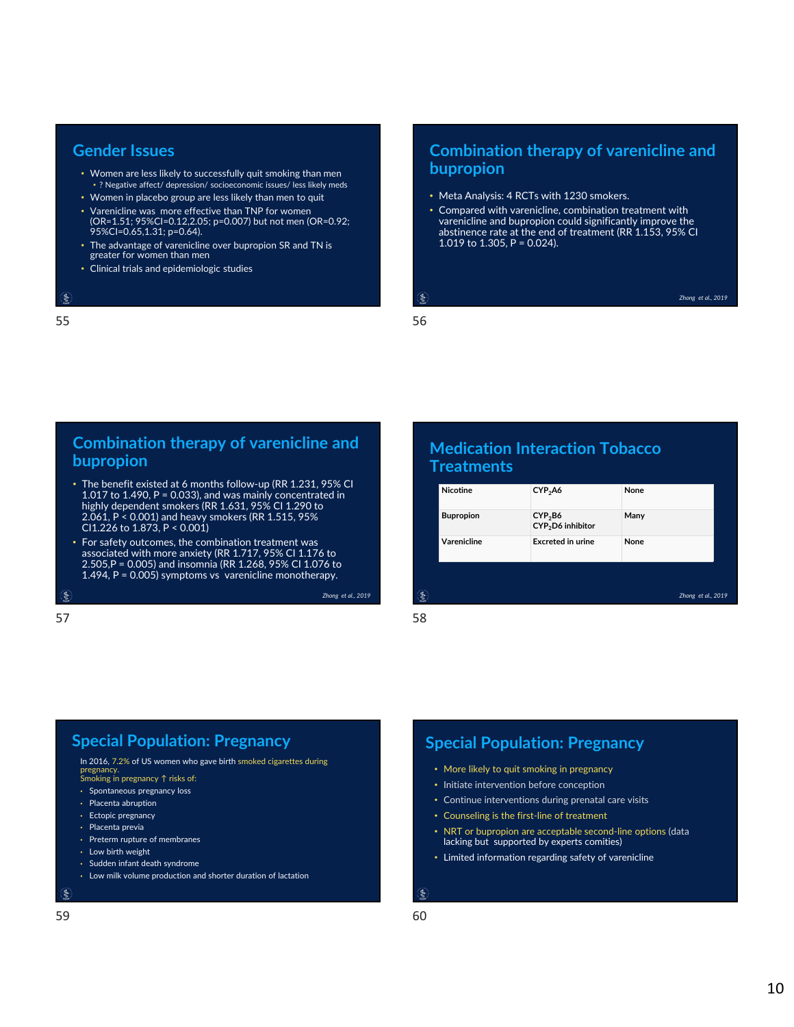### **Gender Issues**

- Women are less likely to successfully quit smoking than men • ? Negative affect/ depression/ socioeconomic issues/ less likely meds
- Women in placebo group are less likely than men to quit
- Varenicline was more effective than TNP for women (OR=1.51; 95%CI=0.12,2.05; p=0.007) but not men (OR=0.92; 95%CI=0.65,1.31; p=0.64).
- The advantage of varenicline over bupropion SR and TN is greater for women than men
- Clinical trials and epidemiologic studies

#### $\epsilon$

### $55$

## **Combination therapy of varenicline and bupropion**

- Meta Analysis: 4 RCTs with 1230 smokers.
- Compared with varenicline, combination treatment with varenicline and bupropion could significantly improve the abstinence rate at the end of treatment (RR 1.153, 95% CI 1.019 to 1.305, P = 0.024).

*Zhong et al., 2019*

#### ę.

## **Combination therapy of varenicline and bupropion**

- The benefit existed at 6 months follow‐up (RR 1.231, 95% CI 1.017 to 1.490, P = 0.033), and was mainly concentrated in highly dependent smokers (RR 1.631, 95% CI 1.290 to 2.061, P < 0.001) and heavy smokers (RR 1.515, 95% CI1.226 to 1.873, P < 0.001)
- For safety outcomes, the combination treatment was associated with more anxiety (RR 1.717, 95% CI 1.176 to 2.505,P = 0.005) and insomnia (RR 1.268, 95% CI 1.076 to 1.494, P = 0.005) symptoms vs varenicline monotherapy.

 $\xi$ 

## **Medication Interaction Tobacco Treatments**

| <b>Bupropion</b><br>CYP <sub>2</sub> B6<br>Many<br>CYP <sub>2</sub> D6 inhibitor |  |
|----------------------------------------------------------------------------------|--|
|                                                                                  |  |
| Varenicline<br><b>Excreted in urine</b><br>None                                  |  |
|                                                                                  |  |
| ş<br>Zhong et al., 2019                                                          |  |

 $57$ 

*Zhong et al., 2019*

## **Special Population: Pregnancy**

In 2016, 7.2% of US women who gave birth smoked cigarettes during pregnancy. Smoking in pregnancy ↑ risks of:

- Spontaneous pregnancy loss
- Placenta abruption
- Ectopic pregnancy
- Placenta previa
- Preterm rupture of membranes
- Low birth weight
- Sudden infant death syndrome
- Low milk volume production and shorter duration of lactation

Ś

## **Special Population: Pregnancy**

- More likely to quit smoking in pregnancy
- Initiate intervention before conception
- Continue interventions during prenatal care visits
- Counseling is the first‐line of treatment
- NRT or bupropion are acceptable second‐line options (data lacking but supported by experts comities)
- Limited information regarding safety of varenicline

ş

10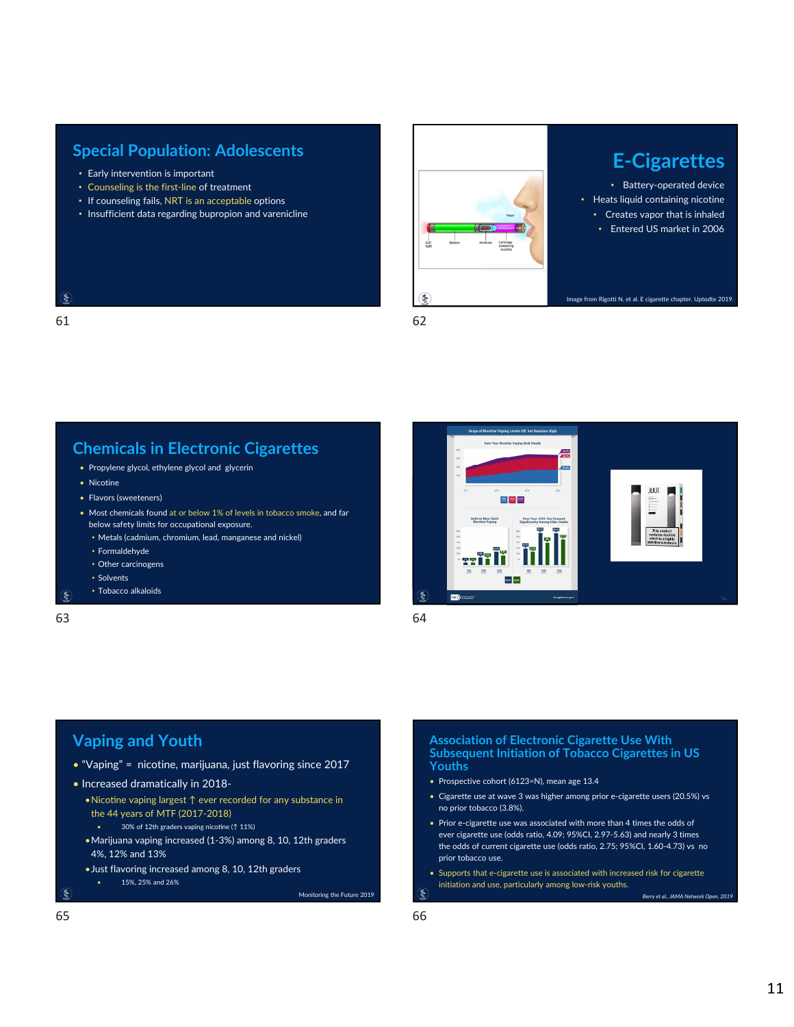- Early intervention is important
- Counseling is the first‐line of treatment
- If counseling fails, NRT is an acceptable options
- Insufficient data regarding bupropion and varenicline



• Battery‐operated device • Heats liquid containing nicotine • Creates vapor that is inhaled • Entered US market in 2006

Image from Rigotti N. et al. E cigarette chapter. Uptodte 2019.

## 61 62

**Chemicals in Electronic Cigarettes**

- Propylene glycol, ethylene glycol and glycerin
- Nicotine
- Flavors (sweeteners)
- Most chemicals found at or below 1% of levels in tobacco smoke, and far below safety limits for occupational exposure.
	- Metals (cadmium, chromium, lead, manganese and nickel)
	- Formaldehyde
	- Other carcinogens
- Solvents
- Tobacco alkaloids

 $\epsilon$ 63 64

 $\epsilon$ 



## **Vaping and Youth**

- "Vaping" = nicotine, marijuana, just flavoring since 2017
- Increased dramatically in 2018‐
	- •Nicoঞne vaping largest ↑ ever recorded for any substance in the 44 years of MTF (2017‐2018)
		- 30% of 12th graders vaping nicotine (↑ 11%)
	- •Marijuana vaping increased (1‐3%) among 8, 10, 12th graders 4%, 12% and 13%
	- •Just flavoring increased among 8, 10, 12th graders
		- 15%, 25% and 26%

```
Monitoring the Future 2019
```
#### **Association of Electronic Cigarette Use With Subsequent Initiation of Tobacco Cigarettes in US Youths**

- Prospective cohort (6123=N), mean age 13.4
- Cigarette use at wave 3 was higher among prior e‐cigarette users (20.5%) vs no prior tobacco (3.8%).
- Prior e-cigarette use was associated with more than 4 times the odds of ever cigarette use (odds ratio, 4.09; 95%CI, 2.97‐5.63) and nearly 3 times the odds of current cigarette use (odds ratio, 2.75; 95%CI, 1.60‐4.73) vs no prior tobacco use.
- Supports that e‐cigarette use is associated with increased risk for cigarette initiation and use, particularly among low‐risk youths. Ś